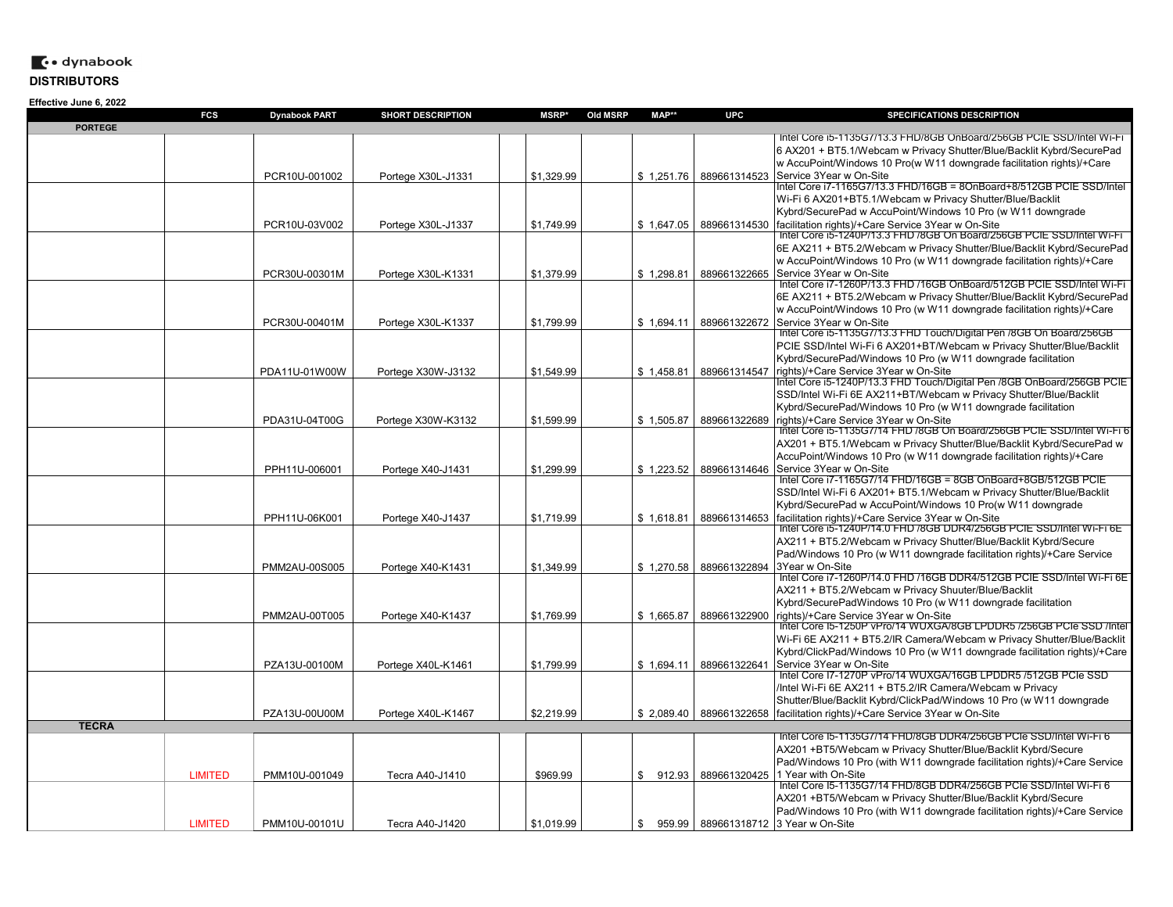|                | <b>FCS</b>     | <b>Dynabook PART</b> | <b>SHORT DESCRIPTION</b> | MSRP*      | Old MSRP | MAP**        | <b>UPC</b>   | SPECIFICATIONS DESCRIPTION                                                                                       |
|----------------|----------------|----------------------|--------------------------|------------|----------|--------------|--------------|------------------------------------------------------------------------------------------------------------------|
| <b>PORTEGE</b> |                |                      |                          |            |          |              |              | Intel Core i5-1135G7/13.3 FHD/8GB OnBoard/256GB PCIE SSD/Intel Wi-FT                                             |
|                |                |                      |                          |            |          |              |              | 6 AX201 + BT5.1/Webcam w Privacy Shutter/Blue/Backlit Kybrd/SecurePad                                            |
|                |                |                      |                          |            |          |              |              | w AccuPoint/Windows 10 Pro(w W11 downgrade facilitation rights)/+Care                                            |
|                |                | PCR10U-001002        | Portege X30L-J1331       | \$1,329.99 |          | \$1,251.76   | 889661314523 | Service 3Year w On-Site                                                                                          |
|                |                |                      |                          |            |          |              |              | Intel Core i7-1165G7/13.3 FHD/16GB = 8OnBoard+8/512GB PCIE SSD/Intel                                             |
|                |                |                      |                          |            |          |              |              | Wi-Fi 6 AX201+BT5.1/Webcam w Privacy Shutter/Blue/Backlit                                                        |
|                |                |                      |                          |            |          |              |              | Kybrd/SecurePad w AccuPoint/Windows 10 Pro (w W11 downgrade                                                      |
|                |                | PCR10U-03V002        | Portege X30L-J1337       | \$1,749.99 |          | \$1,647.05   | 889661314530 | facilitation rights)/+Care Service 3Year w On-Site                                                               |
|                |                |                      |                          |            |          |              |              | Intel Core i5-1240P/13.3 FHD /8GB On Board/256GB PCIE SSD/Intel Wi-Fi                                            |
|                |                |                      |                          |            |          |              |              | 6E AX211 + BT5.2/Webcam w Privacy Shutter/Blue/Backlit Kybrd/SecurePad                                           |
|                |                |                      |                          |            |          |              |              | w AccuPoint/Windows 10 Pro (w W11 downgrade facilitation rights)/+Care                                           |
|                |                | PCR30U-00301M        | Portege X30L-K1331       | \$1,379.99 |          | \$1.298.81   | 889661322665 | Service 3Year w On-Site                                                                                          |
|                |                |                      |                          |            |          |              |              | Intel Core i7-1260P/13.3 FHD /16GB OnBoard/512GB PCIE SSD/Intel Wi-Fi                                            |
|                |                |                      |                          |            |          |              |              | 6E AX211 + BT5.2/Webcam w Privacy Shutter/Blue/Backlit Kybrd/SecurePad                                           |
|                |                |                      |                          |            |          |              |              | w AccuPoint/Windows 10 Pro (w W11 downgrade facilitation rights)/+Care                                           |
|                |                | PCR30U-00401M        | Portege X30L-K1337       | \$1,799.99 |          | \$1,694.11   | 889661322672 | Service 3Year w On-Site                                                                                          |
|                |                |                      |                          |            |          |              |              | Intel Core i5-1135G7/13.3 FHD Touch/Digital Pen /8GB On Board/256GB                                              |
|                |                |                      |                          |            |          |              |              | PCIE SSD/Intel Wi-Fi 6 AX201+BT/Webcam w Privacy Shutter/Blue/Backlit                                            |
|                |                |                      |                          |            |          |              |              | Kybrd/SecurePad/Windows 10 Pro (w W11 downgrade facilitation                                                     |
|                |                | PDA11U-01W00W        | Portege X30W-J3132       | \$1.549.99 |          | \$1,458.81   | 889661314547 | rights)/+Care Service 3Year w On-Site<br>Intel Core i5-1240P/13.3 FHD Touch/Digital Pen /8GB OnBoard/256GB PCIE_ |
|                |                |                      |                          |            |          |              |              | SSD/Intel Wi-Fi 6E AX211+BT/Webcam w Privacy Shutter/Blue/Backlit                                                |
|                |                |                      |                          |            |          |              |              | Kybrd/SecurePad/Windows 10 Pro (w W11 downgrade facilitation                                                     |
|                |                |                      |                          | \$1,599.99 |          |              | 889661322689 | rights)/+Care Service 3Year w On-Site                                                                            |
|                |                | PDA31U-04T00G        | Portege X30W-K3132       |            |          | \$1,505.87   |              | lntel Core i5-1135G7/14 FHD /8GB On Board/256GB PCIE SSD/Intel Wi-Fi 6                                           |
|                |                |                      |                          |            |          |              |              | AX201 + BT5.1/Webcam w Privacy Shutter/Blue/Backlit Kybrd/SecurePad w                                            |
|                |                |                      |                          |            |          |              |              | AccuPoint/Windows 10 Pro (w W11 downgrade facilitation rights)/+Care                                             |
|                |                | PPH11U-006001        | Portege X40-J1431        | \$1,299.99 |          | \$1,223.52   | 889661314646 | Service 3Year w On-Site                                                                                          |
|                |                |                      |                          |            |          |              |              | Intel Core i7-1165G7/14 FHD/16GB = 8GB OnBoard+8GB/512GB PCIE                                                    |
|                |                |                      |                          |            |          |              |              | SSD/Intel Wi-Fi 6 AX201+ BT5.1/Webcam w Privacy Shutter/Blue/Backlit                                             |
|                |                |                      |                          |            |          |              |              | Kybrd/SecurePad w AccuPoint/Windows 10 Pro(w W11 downgrade                                                       |
|                |                | PPH11U-06K001        | Portege X40-J1437        | \$1.719.99 |          | \$1,618.81   | 889661314653 | facilitation rights)/+Care Service 3Year w On-Site                                                               |
|                |                |                      |                          |            |          |              |              | Intel Core i5-1240P/14.0 FHD /8GB DDR4/256GB PCIE SSD/Intel Wi-Fi 6E                                             |
|                |                |                      |                          |            |          |              |              | AX211 + BT5.2/Webcam w Privacy Shutter/Blue/Backlit Kybrd/Secure                                                 |
|                |                |                      |                          |            |          |              |              | Pad/Windows 10 Pro (w W11 downgrade facilitation rights)/+Care Service                                           |
|                |                | PMM2AU-00S005        | Portege X40-K1431        | \$1,349.99 |          | \$1,270.58   | 889661322894 | 3Year w On-Site                                                                                                  |
|                |                |                      |                          |            |          |              |              | Intel Core i7-1260P/14.0 FHD /16GB DDR4/512GB PCIE SSD/Intel Wi-Fi 6E                                            |
|                |                |                      |                          |            |          |              |              | AX211 + BT5.2/Webcam w Privacy Shuuter/Blue/Backlit                                                              |
|                |                |                      |                          |            |          |              |              | Kybrd/SecurePadWindows 10 Pro (w W11 downgrade facilitation                                                      |
|                |                | PMM2AU-00T005        | Portege X40-K1437        | \$1,769.99 |          | \$1,665.87   | 889661322900 | rights)/+Care Service 3Year w On-Site<br>lntel Core I5-1250P vPro/14 WUXGA/8GB LPDDR5 /256GB PCIe SSD /Intel     |
|                |                |                      |                          |            |          |              |              | Wi-Fi 6E AX211 + BT5.2/IR Camera/Webcam w Privacy Shutter/Blue/Backlit                                           |
|                |                |                      |                          |            |          |              |              | Kybrd/ClickPad/Windows 10 Pro (w W11 downgrade facilitation rights)/+Care                                        |
|                |                |                      |                          | \$1,799.99 |          |              | 889661322641 | Service 3Year w On-Site                                                                                          |
|                |                | PZA13U-00100M        | Portege X40L-K1461       |            |          | \$1,694.11   |              | Intel Core I7-1270P vPro/14 WUXGA/16GB LPDDR5 /512GB PCIe SSD                                                    |
|                |                |                      |                          |            |          |              |              | /Intel Wi-Fi 6E AX211 + BT5.2/IR Camera/Webcam w Privacy                                                         |
|                |                |                      |                          |            |          |              |              | Shutter/Blue/Backlit Kybrd/ClickPad/Windows 10 Pro (w W11 downgrade                                              |
|                |                | PZA13U-00U00M        | Portege X40L-K1467       | \$2,219.99 |          | \$2,089.40   | 889661322658 | facilitation rights)/+Care Service 3Year w On-Site                                                               |
| <b>TECRA</b>   |                |                      |                          |            |          |              |              |                                                                                                                  |
|                |                |                      |                          |            |          |              |              | Intel Core I5-1135G7/14 FHD/8GB DDR4/256GB PCIe SSD/Intel Wi-Fi 6                                                |
|                |                |                      |                          |            |          |              |              | AX201 +BT5/Webcam w Privacy Shutter/Blue/Backlit Kybrd/Secure                                                    |
|                |                |                      |                          |            |          |              |              | Pad/Windows 10 Pro (with W11 downgrade facilitation rights)/+Care Service                                        |
|                | <b>LIMITED</b> | PMM10U-001049        | Tecra A40-J1410          | \$969.99   |          | \$<br>912.93 | 889661320425 | 1 Year with On-Site                                                                                              |
|                |                |                      |                          |            |          |              |              | Intel Core I5-1135G7/14 FHD/8GB DDR4/256GB PCIe SSD/Intel Wi-Fi 6                                                |
|                |                |                      |                          |            |          |              |              | AX201 +BT5/Webcam w Privacy Shutter/Blue/Backlit Kybrd/Secure                                                    |
|                |                |                      |                          |            |          |              |              | Pad/Windows 10 Pro (with W11 downgrade facilitation rights)/+Care Service                                        |
|                | <b>LIMITED</b> | PMM10U-00101U        | Tecra A40-J1420          | \$1,019.99 |          | \$           |              | 959.99 889661318712 3 Year w On-Site                                                                             |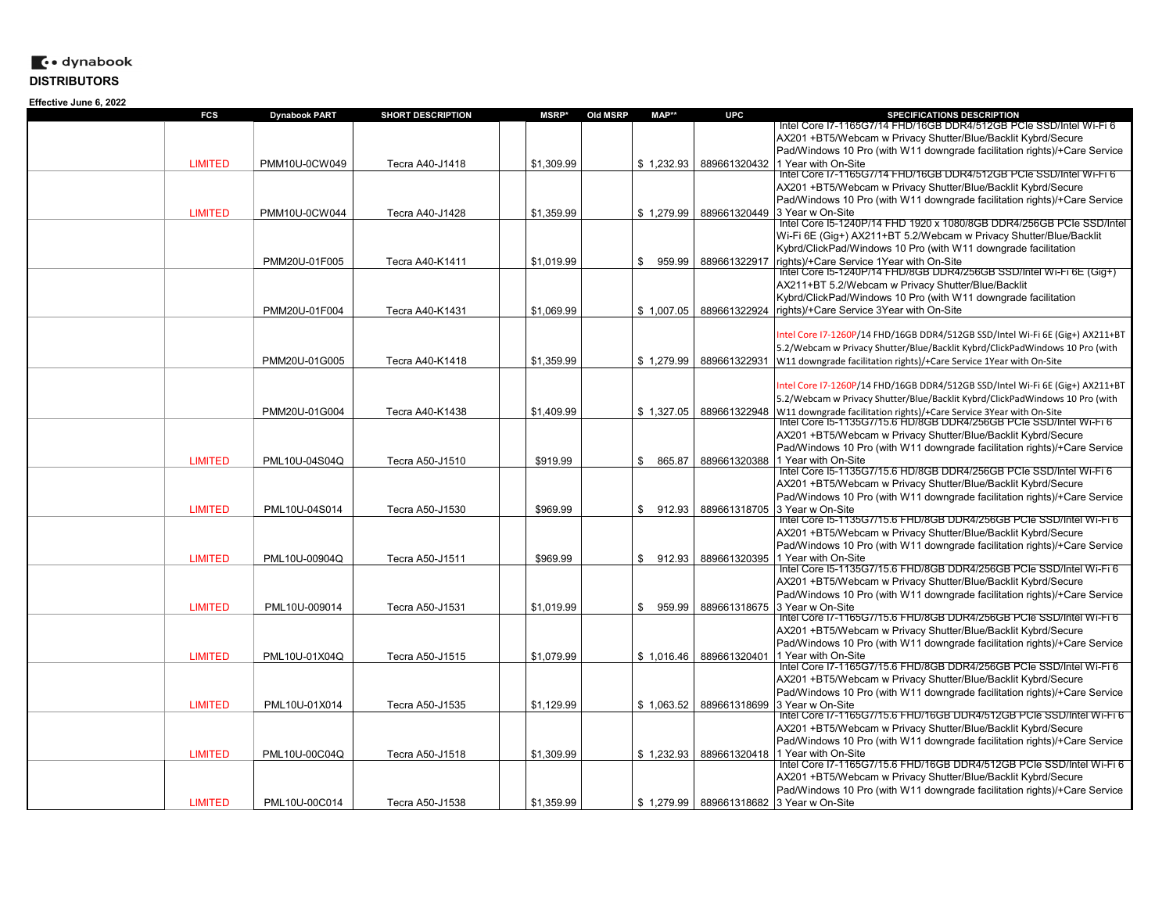| FCS            | <b>Dynabook PART</b> | <b>SHORT DESCRIPTION</b> | <b>MSRP*</b><br><b>Old MSRP</b> | MAP**        | <b>UPC</b>   | <b>SPECIFICATIONS DESCRIPTION</b>                                                           |
|----------------|----------------------|--------------------------|---------------------------------|--------------|--------------|---------------------------------------------------------------------------------------------|
|                |                      |                          |                                 |              |              | Intel Core 17-1165G7/14 FHD/16GB DDR4/512GB PCIe SSD/Intel Wi-Fi 6                          |
|                |                      |                          |                                 |              |              | AX201 +BT5/Webcam w Privacy Shutter/Blue/Backlit Kybrd/Secure                               |
|                |                      |                          |                                 |              |              | Pad/Windows 10 Pro (with W11 downgrade facilitation rights)/+Care Service                   |
| <b>LIMITED</b> | PMM10U-0CW049        | Tecra A40-J1418          | \$1,309.99                      | \$1,232.93   | 889661320432 | 1 Year with On-Site                                                                         |
|                |                      |                          |                                 |              |              | Intel Core I7-1165G7/14 FHD/16GB DDR4/512GB PCIe SSD/Intel Wi-Fi 6                          |
|                |                      |                          |                                 |              |              | AX201 +BT5/Webcam w Privacy Shutter/Blue/Backlit Kybrd/Secure                               |
|                |                      |                          |                                 |              |              | Pad/Windows 10 Pro (with W11 downgrade facilitation rights)/+Care Service                   |
| <b>LIMITED</b> | PMM10U-0CW044        | Tecra A40-J1428          | \$1,359.99                      | \$1,279.99   |              | 889661320449 3 Year w On-Site                                                               |
|                |                      |                          |                                 |              |              | Intel Core 15-1240P/14 FHD 1920 x 1080/8GB DDR4/256GB PCIe SSD/Intel                        |
|                |                      |                          |                                 |              |              | Wi-Fi 6E (Gig+) AX211+BT 5.2/Webcam w Privacy Shutter/Blue/Backlit                          |
|                |                      |                          |                                 |              |              | Kybrd/ClickPad/Windows 10 Pro (with W11 downgrade facilitation                              |
|                | PMM20U-01F005        | Tecra A40-K1411          | \$1,019.99                      | \$<br>959.99 | 889661322917 | rights)/+Care Service 1Year with On-Site                                                    |
|                |                      |                          |                                 |              |              | Intel Core I5-1240P/14 FHD/8GB DDR4/256GB SSD/Intel Wi-Fi 6E (Gig+)                         |
|                |                      |                          |                                 |              |              | AX211+BT 5.2/Webcam w Privacy Shutter/Blue/Backlit                                          |
|                |                      |                          |                                 |              |              | Kybrd/ClickPad/Windows 10 Pro (with W11 downgrade facilitation                              |
|                | PMM20U-01F004        | Tecra A40-K1431          | \$1.069.99                      | \$1,007.05   | 889661322924 | rights)/+Care Service 3Year with On-Site                                                    |
|                |                      |                          |                                 |              |              |                                                                                             |
|                |                      |                          |                                 |              |              | ntel Core I7-1260P/14 FHD/16GB DDR4/512GB SSD/Intel Wi-Fi 6E (Gig+) AX211+BT                |
|                |                      |                          |                                 |              |              | 5.2/Webcam w Privacy Shutter/Blue/Backlit Kybrd/ClickPadWindows 10 Pro (with                |
|                | PMM20U-01G005        | Tecra A40-K1418          | \$1,359.99                      | \$1,279.99   | 889661322931 | W11 downgrade facilitation rights)/+Care Service 1Year with On-Site                         |
|                |                      |                          |                                 |              |              |                                                                                             |
|                |                      |                          |                                 |              |              | Intel Core I7-1260P/14 FHD/16GB DDR4/512GB SSD/Intel Wi-Fi 6E (Gig+) AX211+BT               |
|                |                      |                          |                                 |              |              | 5.2/Webcam w Privacy Shutter/Blue/Backlit Kybrd/ClickPadWindows 10 Pro (with                |
|                | PMM20U-01G004        | Tecra A40-K1438          | \$1,409.99                      | \$1,327.05   | 889661322948 | W11 downgrade facilitation rights)/+Care Service 3Year with On-Site                         |
|                |                      |                          |                                 |              |              | Intel Core 15-1135G7/15.6 HD/8GB DDR4/256GB PCIe SSD/Intel Wi-Fi 6                          |
|                |                      |                          |                                 |              |              | AX201 +BT5/Webcam w Privacy Shutter/Blue/Backlit Kybrd/Secure                               |
|                |                      |                          |                                 |              |              | Pad/Windows 10 Pro (with W11 downgrade facilitation rights)/+Care Service                   |
| <b>LIMITED</b> | PML10U-04S04Q        | Tecra A50-J1510          | \$919.99                        | \$<br>865.87 | 889661320388 | 1 Year with On-Site                                                                         |
|                |                      |                          |                                 |              |              | Intel Core I5-1135G7/15.6 HD/8GB DDR4/256GB PCIe SSD/Intel Wi-Fi 6                          |
|                |                      |                          |                                 |              |              | AX201 +BT5/Webcam w Privacy Shutter/Blue/Backlit Kybrd/Secure                               |
|                |                      |                          |                                 |              |              | Pad/Windows 10 Pro (with W11 downgrade facilitation rights)/+Care Service                   |
| <b>LIMITED</b> | PML10U-04S014        | Tecra A50-J1530          | \$969.99                        | \$<br>912.93 | 889661318705 | 3 Year w On-Site                                                                            |
|                |                      |                          |                                 |              |              | Intel Core I5-1135G7/15.6 FHD/8GB DDR4/256GB PCIe SSD/Intel Wi-Fi 6                         |
|                |                      |                          |                                 |              |              | AX201 +BT5/Webcam w Privacy Shutter/Blue/Backlit Kybrd/Secure                               |
|                |                      |                          |                                 |              |              | Pad/Windows 10 Pro (with W11 downgrade facilitation rights)/+Care Service                   |
| <b>LIMITED</b> | PML10U-00904Q        | Tecra A50-J1511          | \$969.99                        | \$<br>912.93 | 889661320395 | 1 Year with On-Site                                                                         |
|                |                      |                          |                                 |              |              | Intel Core I5-1135G7/15.6 FHD/8GB DDR4/256GB PCIe SSD/Intel Wi-Fi 6                         |
|                |                      |                          |                                 |              |              | AX201 +BT5/Webcam w Privacy Shutter/Blue/Backlit Kybrd/Secure                               |
|                |                      |                          |                                 |              |              | Pad/Windows 10 Pro (with W11 downgrade facilitation rights)/+Care Service                   |
| <b>LIMITED</b> | PML10U-009014        | Tecra A50-J1531          | \$1,019.99                      | \$<br>959.99 | 889661318675 | 3 Year w On-Site                                                                            |
|                |                      |                          |                                 |              |              | Intel Core I7-1165G7/15.6 FHD/8GB DDR4/256GB PCIe SSD/Intel Wi-Fi 6                         |
|                |                      |                          |                                 |              |              | AX201 +BT5/Webcam w Privacy Shutter/Blue/Backlit Kybrd/Secure                               |
|                |                      |                          |                                 |              |              | Pad/Windows 10 Pro (with W11 downgrade facilitation rights)/+Care Service                   |
| <b>LIMITED</b> | PML10U-01X04Q        | Tecra A50-J1515          | \$1,079.99                      | \$1,016.46   | 889661320401 | 1 Year with On-Site                                                                         |
|                |                      |                          |                                 |              |              | Intel Core I7-1165G7/15.6 FHD/8GB DDR4/256GB PCIe SSD/Intel Wi-Fi 6                         |
|                |                      |                          |                                 |              |              | AX201 +BT5/Webcam w Privacy Shutter/Blue/Backlit Kybrd/Secure                               |
|                |                      |                          |                                 |              |              | Pad/Windows 10 Pro (with W11 downgrade facilitation rights)/+Care Service                   |
| <b>LIMITED</b> |                      |                          |                                 |              |              | 3 Year w On-Site                                                                            |
|                | PML10U-01X014        | Tecra A50-J1535          | \$1,129.99                      | \$1,063.52   | 889661318699 | Intel Core I7-1165G7/15.6 FHD/16GB DDR4/512GB PCIe SSD/Intel Wi-Fi 6                        |
|                |                      |                          |                                 |              |              | AX201 +BT5/Webcam w Privacy Shutter/Blue/Backlit Kybrd/Secure                               |
|                |                      |                          |                                 |              |              |                                                                                             |
|                |                      |                          |                                 |              |              | Pad/Windows 10 Pro (with W11 downgrade facilitation rights)/+Care Service                   |
| <b>LIMITED</b> | PML10U-00C04Q        | Tecra A50-J1518          | \$1,309.99                      | \$1,232.93   | 889661320418 | 1 Year with On-Site<br>Intel Core I7-1165G7/15.6 FHD/16GB DDR4/512GB PCIe SSD/Intel Wi-Fi 6 |
|                |                      |                          |                                 |              |              | AX201 +BT5/Webcam w Privacy Shutter/Blue/Backlit Kybrd/Secure                               |
|                |                      |                          |                                 |              |              | Pad/Windows 10 Pro (with W11 downgrade facilitation rights)/+Care Service                   |
|                |                      |                          |                                 |              |              |                                                                                             |
| <b>LIMITED</b> | PML10U-00C014        | Tecra A50-J1538          | \$1.359.99                      | \$1,279.99   | 889661318682 | 3 Year w On-Site                                                                            |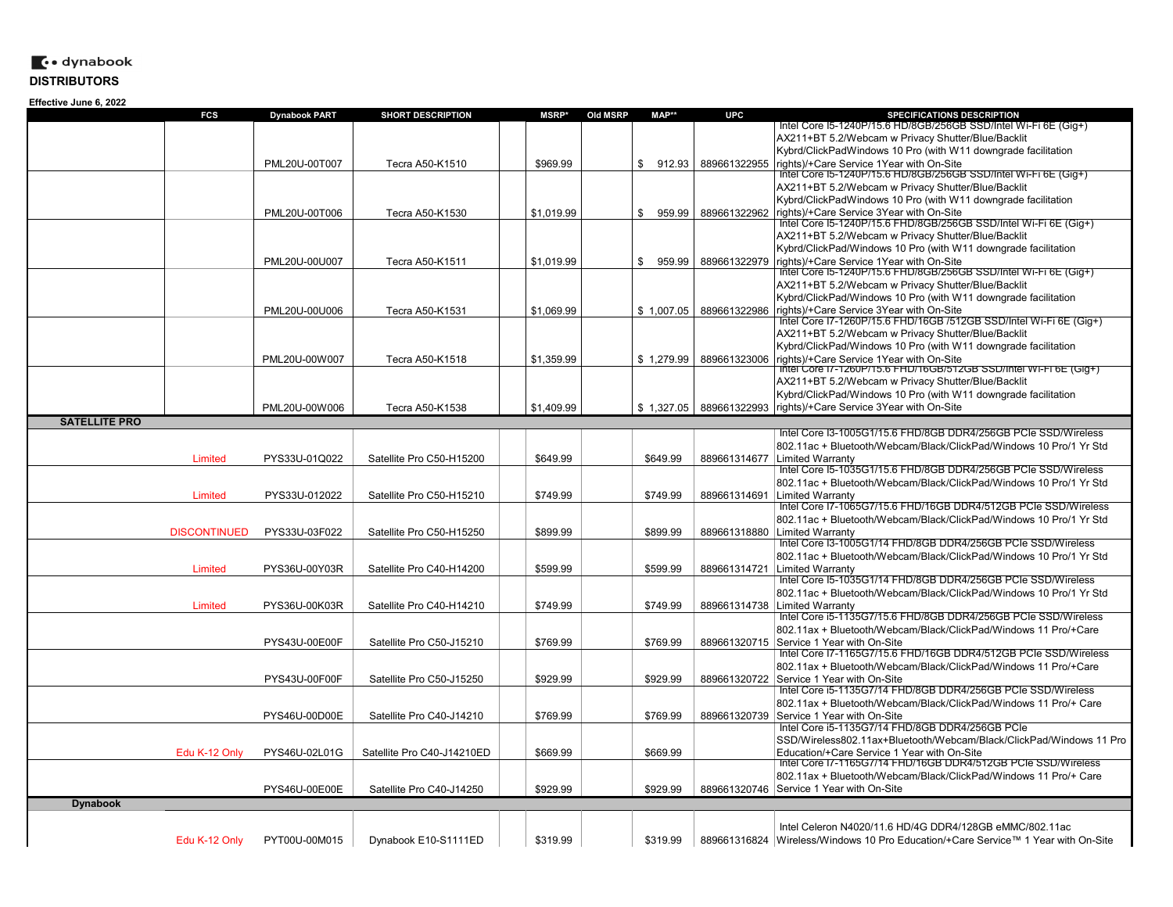|                      | FCS                 | <b>Dynabook PART</b> | <b>SHORT DESCRIPTION</b>   | <b>MSRP*</b> | Old MSRP | MAP**        | <b>UPC</b>   | SPECIFICATIONS DESCRIPTION                                                                                   |
|----------------------|---------------------|----------------------|----------------------------|--------------|----------|--------------|--------------|--------------------------------------------------------------------------------------------------------------|
|                      |                     |                      |                            |              |          |              |              | Intel Core I5-1240P/15.6 HD/8GB/256GB SSD/Intel Wi-Fi 6E (Gig+)                                              |
|                      |                     |                      |                            |              |          |              |              | AX211+BT 5.2/Webcam w Privacy Shutter/Blue/Backlit                                                           |
|                      |                     |                      |                            |              |          |              |              | Kybrd/ClickPadWindows 10 Pro (with W11 downgrade facilitation                                                |
|                      |                     | PML20U-00T007        | Tecra A50-K1510            | \$969.99     |          | \$<br>912.93 | 889661322955 | rights)/+Care Service 1Year with On-Site                                                                     |
|                      |                     |                      |                            |              |          |              |              | Intel Core I5-1240P/15.6 HD/8GB/256GB SSD/Intel Wi-Fi 6E (Gig+)                                              |
|                      |                     |                      |                            |              |          |              |              | AX211+BT 5.2/Webcam w Privacy Shutter/Blue/Backlit                                                           |
|                      |                     |                      |                            |              |          |              |              | Kybrd/ClickPadWindows 10 Pro (with W11 downgrade facilitation                                                |
|                      |                     | PML20U-00T006        | Tecra A50-K1530            | \$1.019.99   |          | \$<br>959.99 | 889661322962 | rights)/+Care Service 3Year with On-Site                                                                     |
|                      |                     |                      |                            |              |          |              |              | Intel Core I5-1240P/15.6 FHD/8GB/256GB SSD/Intel Wi-Fi 6E (Gig+)                                             |
|                      |                     |                      |                            |              |          |              |              | AX211+BT 5.2/Webcam w Privacy Shutter/Blue/Backlit                                                           |
|                      |                     |                      |                            |              |          |              |              | Kybrd/ClickPad/Windows 10 Pro (with W11 downgrade facilitation                                               |
|                      |                     | PML20U-00U007        | Tecra A50-K1511            | \$1,019.99   |          | \$<br>959.99 | 889661322979 | rights)/+Care Service 1Year with On-Site                                                                     |
|                      |                     |                      |                            |              |          |              |              | lntel Core I5-1240P/15.6 FHD/8GB/256GB SSD/Intel Wi-Fi 6E (Gig+)                                             |
|                      |                     |                      |                            |              |          |              |              | AX211+BT 5.2/Webcam w Privacy Shutter/Blue/Backlit                                                           |
|                      |                     |                      |                            |              |          |              |              | Kybrd/ClickPad/Windows 10 Pro (with W11 downgrade facilitation                                               |
|                      |                     | PML20U-00U006        | Tecra A50-K1531            | \$1,069.99   |          | \$1,007.05   | 889661322986 | rights)/+Care Service 3Year with On-Site                                                                     |
|                      |                     |                      |                            |              |          |              |              | Intel Core I7-1260P/15.6 FHD/16GB /512GB SSD/Intel Wi-Fi 6E (Gig+)                                           |
|                      |                     |                      |                            |              |          |              |              | AX211+BT 5.2/Webcam w Privacy Shutter/Blue/Backlit                                                           |
|                      |                     |                      |                            |              |          |              |              | Kybrd/ClickPad/Windows 10 Pro (with W11 downgrade facilitation                                               |
|                      |                     | PML20U-00W007        | Tecra A50-K1518            | \$1,359.99   |          | \$1,279.99   | 889661323006 | rights)/+Care Service 1Year with On-Site                                                                     |
|                      |                     |                      |                            |              |          |              |              | lntel Core I7-1260P/15.6 FHD/16GB/512GB SSD/Intel Wi-Fi 6E (Gig+)                                            |
|                      |                     |                      |                            |              |          |              |              | AX211+BT 5.2/Webcam w Privacy Shutter/Blue/Backlit                                                           |
|                      |                     |                      |                            |              |          |              |              | Kybrd/ClickPad/Windows 10 Pro (with W11 downgrade facilitation                                               |
|                      |                     | PML20U-00W006        |                            | \$1,409.99   |          | \$1.327.05   | 889661322993 | rights)/+Care Service 3Year with On-Site                                                                     |
|                      |                     |                      | Tecra A50-K1538            |              |          |              |              |                                                                                                              |
| <b>SATELLITE PRO</b> |                     |                      |                            |              |          |              |              |                                                                                                              |
|                      |                     |                      |                            |              |          |              |              | Intel Core I3-1005G1/15.6 FHD/8GB DDR4/256GB PCIe SSD/Wireless                                               |
|                      |                     |                      |                            |              |          |              |              | 802.11ac + Bluetooth/Webcam/Black/ClickPad/Windows 10 Pro/1 Yr Std                                           |
|                      | Limited             | PYS33U-01Q022        | Satellite Pro C50-H15200   | \$649.99     |          | \$649.99     | 889661314677 | Limited Warrantv                                                                                             |
|                      |                     |                      |                            |              |          |              |              | Intel Core I5-1035G1/15.6 FHD/8GB DDR4/256GB PCIe SSD/Wireless                                               |
|                      |                     |                      |                            |              |          |              |              | 802.11ac + Bluetooth/Webcam/Black/ClickPad/Windows 10 Pro/1 Yr Std                                           |
|                      | Limited             | PYS33U-012022        | Satellite Pro C50-H15210   | \$749.99     |          | \$749.99     | 889661314691 | Limited Warranty                                                                                             |
|                      |                     |                      |                            |              |          |              |              | Intel Core I7-1065G7/15.6 FHD/16GB DDR4/512GB PCIe SSD/Wireless                                              |
|                      |                     |                      |                            |              |          |              |              | 802.11ac + Bluetooth/Webcam/Black/ClickPad/Windows 10 Pro/1 Yr Std                                           |
|                      | <b>DISCONTINUED</b> | PYS33U-03F022        | Satellite Pro C50-H15250   | \$899.99     |          | \$899.99     |              | 889661318880 Limited Warranty                                                                                |
|                      |                     |                      |                            |              |          |              |              | Intel Core I3-1005G1/14 FHD/8GB DDR4/256GB PCIe SSD/Wireless                                                 |
|                      |                     |                      |                            |              |          |              |              | 802.11ac + Bluetooth/Webcam/Black/ClickPad/Windows 10 Pro/1 Yr Std                                           |
|                      | Limited             | PYS36U-00Y03R        | Satellite Pro C40-H14200   | \$599.99     |          | \$599.99     | 889661314721 | Limited Warranty                                                                                             |
|                      |                     |                      |                            |              |          |              |              | Intel Core I5-1035G1/14 FHD/8GB DDR4/256GB PCIe SSD/Wireless                                                 |
|                      |                     |                      |                            |              |          |              |              | 802.11ac + Bluetooth/Webcam/Black/ClickPad/Windows 10 Pro/1 Yr Std                                           |
|                      | Limited             | PYS36U-00K03R        | Satellite Pro C40-H14210   | \$749.99     |          | \$749.99     | 889661314738 | Limited Warranty                                                                                             |
|                      |                     |                      |                            |              |          |              |              | Intel Core i5-1135G7/15.6 FHD/8GB DDR4/256GB PCIe SSD/Wireless                                               |
|                      |                     |                      |                            |              |          |              |              | 802.11ax + Bluetooth/Webcam/Black/ClickPad/Windows 11 Pro/+Care                                              |
|                      |                     | PYS43U-00E00F        | Satellite Pro C50-J15210   | \$769.99     |          | \$769.99     |              | 889661320715 Service 1 Year with On-Site                                                                     |
|                      |                     |                      |                            |              |          |              |              | Intel Core I7-1165G7/15.6 FHD/16GB DDR4/512GB PCIe SSD/Wireless                                              |
|                      |                     |                      |                            |              |          |              |              | 802.11ax + Bluetooth/Webcam/Black/ClickPad/Windows 11 Pro/+Care                                              |
|                      |                     | PYS43U-00F00F        | Satellite Pro C50-J15250   | \$929.99     |          | \$929.99     |              | 889661320722 Service 1 Year with On-Site                                                                     |
|                      |                     |                      |                            |              |          |              |              | Intel Core i5-1135G7/14 FHD/8GB DDR4/256GB PCIe SSD/Wireless                                                 |
|                      |                     |                      |                            |              |          |              |              | 802.11ax + Bluetooth/Webcam/Black/ClickPad/Windows 11 Pro/+ Care                                             |
|                      |                     |                      |                            |              |          |              |              | Service 1 Year with On-Site                                                                                  |
|                      |                     | PYS46U-00D00E        | Satellite Pro C40-J14210   | \$769.99     |          | \$769.99     | 889661320739 | Intel Core i5-1135G7/14 FHD/8GB DDR4/256GB PCIe                                                              |
|                      |                     |                      |                            |              |          |              |              |                                                                                                              |
|                      |                     |                      |                            |              |          |              |              | SSD/Wireless802.11ax+Bluetooth/Webcam/Black/ClickPad/Windows 11 Pro                                          |
|                      | Edu K-12 Only       | PYS46U-02L01G        | Satellite Pro C40-J14210ED | \$669.99     |          | \$669.99     |              | Education/+Care Service 1 Year with On-Site<br>Intel Core I7-1165G7/14 FHD/16GB DDR4/512GB PCIe SSD/Wireless |
|                      |                     |                      |                            |              |          |              |              |                                                                                                              |
|                      |                     |                      |                            |              |          |              |              | 802.11ax + Bluetooth/Webcam/Black/ClickPad/Windows 11 Pro/+ Care                                             |
|                      |                     | PYS46U-00E00E        | Satellite Pro C40-J14250   | \$929.99     |          | \$929.99     | 889661320746 | Service 1 Year with On-Site                                                                                  |
| <b>Dynabook</b>      |                     |                      |                            |              |          |              |              |                                                                                                              |
|                      |                     |                      |                            |              |          |              |              |                                                                                                              |
|                      |                     |                      |                            |              |          |              |              | Intel Celeron N4020/11.6 HD/4G DDR4/128GB eMMC/802.11ac                                                      |
|                      | Edu K-12 Only       | PYT00U-00M015        | Dynabook E10-S1111ED       | \$319.99     |          | \$319.99     |              | 889661316824 Wireless/Windows 10 Pro Education/+Care Service™ 1 Year with On-Site                            |
|                      |                     |                      |                            |              |          |              |              |                                                                                                              |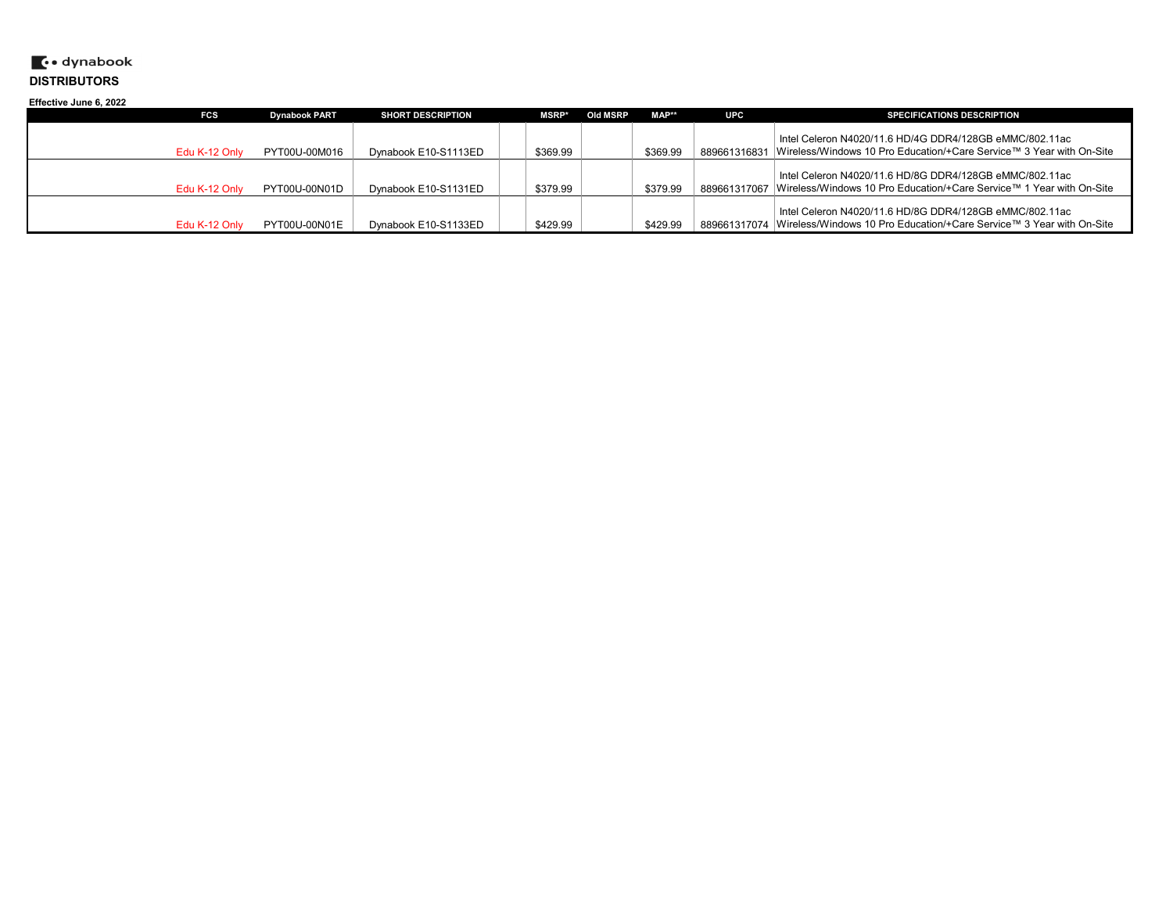| Effective June 6, 2022 |               |                      |                          |              |          |          |              |                                                                                                                                 |  |
|------------------------|---------------|----------------------|--------------------------|--------------|----------|----------|--------------|---------------------------------------------------------------------------------------------------------------------------------|--|
|                        | <b>FCS</b>    | <b>Dynabook PART</b> | <b>SHORT DESCRIPTION</b> | <b>MSRP*</b> | Old MSRP | MAP**    | <b>UPC</b>   | <b>SPECIFICATIONS DESCRIPTION</b>                                                                                               |  |
|                        | Edu K-12 Only | PYT00U-00M016        | Dynabook E10-S1113ED     | \$369.99     |          | \$369.99 | 889661316831 | Intel Celeron N4020/11.6 HD/4G DDR4/128GB eMMC/802.11ac<br>Vireless/Windows 10 Pro Education/+Care Service™ 3 Year with On-Site |  |
|                        |               |                      |                          |              |          |          |              |                                                                                                                                 |  |
|                        |               |                      |                          |              |          |          |              | Intel Celeron N4020/11.6 HD/8G DDR4/128GB eMMC/802.11ac                                                                         |  |
|                        | Edu K-12 Only | PYT00U-00N01D        | Dynabook E10-S1131ED     | \$379.99     |          | \$379.99 |              | <sup>1</sup> 889661317067  Wireless/Windows 10 Pro Education/+Care Service™ 1 Year with On-Site                                 |  |
|                        |               |                      |                          |              |          |          |              | Intel Celeron N4020/11.6 HD/8G DDR4/128GB eMMC/802.11ac                                                                         |  |
|                        | Edu K-12 Only | PYT00U-00N01E        | Dynabook E10-S1133ED     | \$429.99     |          | \$429.99 |              | 889661317074  Wireless/Windows 10 Pro Education/+Care Service™ 3 Year with On-Site                                              |  |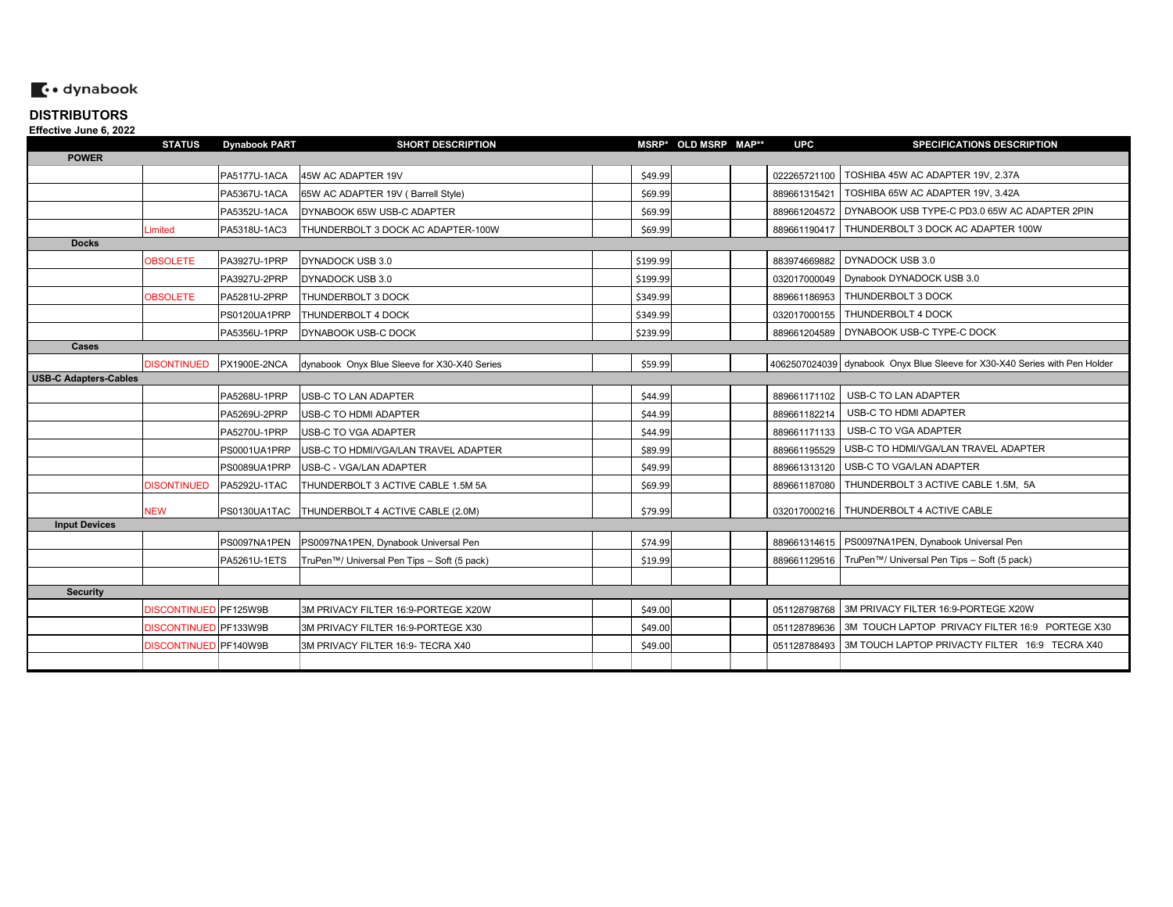# $\ddot{\bullet}$  dynabook

#### **DISTRIBUTORSEffective June 6, 2022**

| =………………………                   | <b>STATUS</b>         | <b>Dynabook PART</b> | <b>SHORT DESCRIPTION</b>                     |          | MSRP* OLD MSRP MAP** | <b>UPC</b>   | <b>SPECIFICATIONS DESCRIPTION</b>                                          |
|------------------------------|-----------------------|----------------------|----------------------------------------------|----------|----------------------|--------------|----------------------------------------------------------------------------|
| <b>POWER</b>                 |                       |                      |                                              |          |                      |              |                                                                            |
|                              |                       | PA5177U-1ACA         | 45W AC ADAPTER 19V                           | \$49.99  |                      |              | 022265721100   TOSHIBA 45W AC ADAPTER 19V, 2.37A                           |
|                              |                       | PA5367U-1ACA         | 65W AC ADAPTER 19V (Barrell Style)           | \$69.99  |                      | 889661315421 | TOSHIBA 65W AC ADAPTER 19V, 3.42A                                          |
|                              |                       | PA5352U-1ACA         | DYNABOOK 65W USB-C ADAPTER                   | \$69.99  |                      |              | 889661204572 DYNABOOK USB TYPE-C PD3.0 65W AC ADAPTER 2PIN                 |
|                              | Limited               | PA5318U-1AC3         | THUNDERBOLT 3 DOCK AC ADAPTER-100W           | \$69.99  |                      |              | 889661190417   THUNDERBOLT 3 DOCK AC ADAPTER 100W                          |
| <b>Docks</b>                 |                       |                      |                                              |          |                      |              |                                                                            |
|                              | <b>OBSOLETE</b>       | PA3927U-1PRP         | DYNADOCK USB 3.0                             | \$199.99 |                      |              | 883974669882 DYNADOCK USB 3.0                                              |
|                              |                       | PA3927U-2PRP         | DYNADOCK USB 3.0                             | \$199.99 |                      |              | 032017000049 Dynabook DYNADOCK USB 3.0                                     |
|                              | <b>OBSOLETE</b>       | PA5281U-2PRP         | THUNDERBOLT 3 DOCK                           | \$349.99 |                      |              | 889661186953   THUNDERBOLT 3 DOCK                                          |
|                              |                       | PS0120UA1PRP         | THUNDERBOLT 4 DOCK                           | \$349.99 |                      |              | 032017000155   THUNDERBOLT 4 DOCK                                          |
|                              |                       | PA5356U-1PRP         | DYNABOOK USB-C DOCK                          | \$239.99 |                      |              | 889661204589   DYNABOOK USB-C TYPE-C DOCK                                  |
| Cases                        |                       |                      |                                              |          |                      |              |                                                                            |
|                              | <b>DISONTINUED</b>    | PX1900E-2NCA         | dynabook Onyx Blue Sleeve for X30-X40 Series | \$59.99  |                      |              | 4062507024039 dynabook Onyx Blue Sleeve for X30-X40 Series with Pen Holder |
| <b>USB-C Adapters-Cables</b> |                       |                      |                                              |          |                      |              |                                                                            |
|                              |                       | PA5268U-1PRP         | USB-C TO LAN ADAPTER                         | \$44.99  |                      | 889661171102 | USB-C TO LAN ADAPTER                                                       |
|                              |                       | PA5269U-2PRP         | USB-C TO HDMI ADAPTER                        | \$44.99  |                      | 889661182214 | USB-C TO HDMI ADAPTER                                                      |
|                              |                       | PA5270U-1PRP         | USB-C TO VGA ADAPTER                         | \$44.99  |                      | 889661171133 | USB-C TO VGA ADAPTER                                                       |
|                              |                       | PS0001UA1PRP         | USB-C TO HDMI/VGA/LAN TRAVEL ADAPTER         | \$89.99  |                      | 889661195529 | USB-C TO HDMI/VGA/LAN TRAVEL ADAPTER                                       |
|                              |                       | PS0089UA1PRP         | USB-C - VGA/LAN ADAPTER                      | \$49.99  |                      | 889661313120 | USB-C TO VGA/LAN ADAPTER                                                   |
|                              | <b>DISONTINUED</b>    | PA5292U-1TAC         | THUNDERBOLT 3 ACTIVE CABLE 1.5M 5A           | \$69.99  |                      |              | 889661187080   THUNDERBOLT 3 ACTIVE CABLE 1.5M, 5A                         |
|                              | <b>NEW</b>            | PS0130UA1TAC         | THUNDERBOLT 4 ACTIVE CABLE (2.0M)            | \$79.99  |                      |              | 032017000216   THUNDERBOLT 4 ACTIVE CABLE                                  |
| <b>Input Devices</b>         |                       |                      |                                              |          |                      |              |                                                                            |
|                              |                       | PS0097NA1PEN         | PS0097NA1PEN, Dynabook Universal Pen         | \$74.99  |                      |              | 889661314615   PS0097NA1PEN, Dynabook Universal Pen                        |
|                              |                       | PA5261U-1ETS         | TruPen™/ Universal Pen Tips - Soft (5 pack)  | \$19.99  |                      |              | 889661129516   TruPen™/ Universal Pen Tips - Soft (5 pack)                 |
|                              |                       |                      |                                              |          |                      |              |                                                                            |
| <b>Security</b>              |                       |                      |                                              |          |                      |              |                                                                            |
|                              | DISCONTINUED PF125W9B |                      | 3M PRIVACY FILTER 16:9-PORTEGE X20W          | \$49.00  |                      |              | 051128798768   3M PRIVACY FILTER 16:9-PORTEGE X20W                         |
|                              | DISCONTINUED PF133W9B |                      | 3M PRIVACY FILTER 16:9-PORTEGE X30           | \$49.00  |                      |              | 051128789636   3M TOUCH LAPTOP PRIVACY FILTER 16:9 PORTEGE X30             |
|                              | DISCONTINUED PF140W9B |                      | 3M PRIVACY FILTER 16:9- TECRA X40            | \$49.00  |                      |              | 051128788493   3M TOUCH LAPTOP PRIVACTY FILTER 16:9 TECRA X40              |
|                              |                       |                      |                                              |          |                      |              |                                                                            |